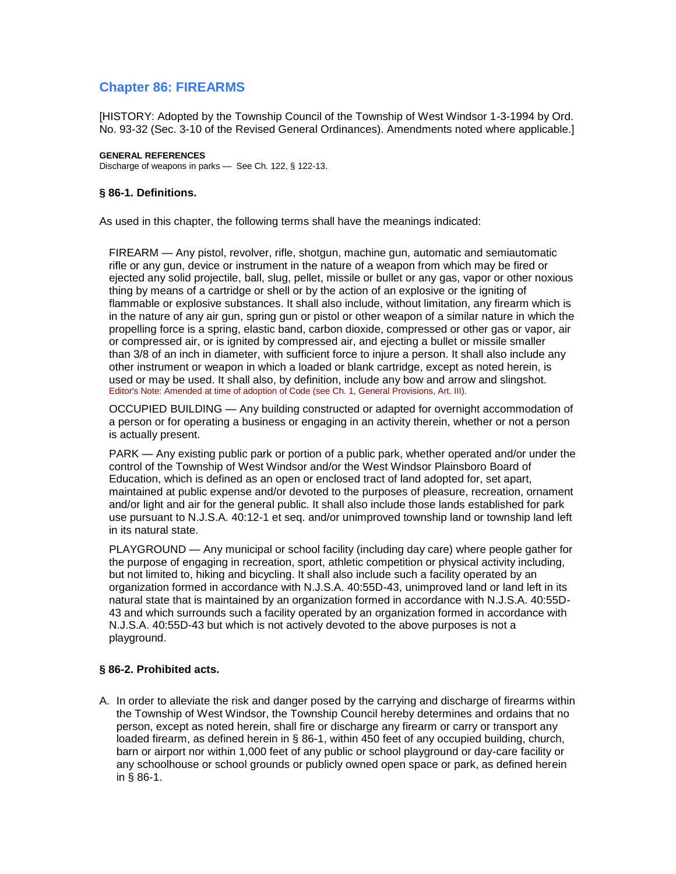# **Chapter 86: FIREARMS**

[HISTORY: Adopted by the Township Council of the Township of West Windsor 1-3-1994 by Ord. No. 93-32 (Sec. 3-10 of the Revised General Ordinances). Amendments noted where applicable.]

### **GENERAL REFERENCES**

Discharge of weapons in parks — See Ch. 122, § 122-13.

## **§ 86-1. Definitions.**

As used in this chapter, the following terms shall have the meanings indicated:

FIREARM — Any pistol, revolver, rifle, shotgun, machine gun, automatic and semiautomatic rifle or any gun, device or instrument in the nature of a weapon from which may be fired or ejected any solid projectile, ball, slug, pellet, missile or bullet or any gas, vapor or other noxious thing by means of a cartridge or shell or by the action of an explosive or the igniting of flammable or explosive substances. It shall also include, without limitation, any firearm which is in the nature of any air gun, spring gun or pistol or other weapon of a similar nature in which the propelling force is a spring, elastic band, carbon dioxide, compressed or other gas or vapor, air or compressed air, or is ignited by compressed air, and ejecting a bullet or missile smaller than 3/8 of an inch in diameter, with sufficient force to injure a person. It shall also include any other instrument or weapon in which a loaded or blank cartridge, except as noted herein, is used or may be used. It shall also, by definition, include any bow and arrow and slingshot. Editor's Note: Amended at time of adoption of Code (see Ch. 1, General Provisions, Art. III).

OCCUPIED BUILDING — Any building constructed or adapted for overnight accommodation of a person or for operating a business or engaging in an activity therein, whether or not a person is actually present.

PARK — Any existing public park or portion of a public park, whether operated and/or under the control of the Township of West Windsor and/or the West Windsor Plainsboro Board of Education, which is defined as an open or enclosed tract of land adopted for, set apart, maintained at public expense and/or devoted to the purposes of pleasure, recreation, ornament and/or light and air for the general public. It shall also include those lands established for park use pursuant to N.J.S.A. 40:12-1 et seq. and/or unimproved township land or township land left in its natural state.

PLAYGROUND — Any municipal or school facility (including day care) where people gather for the purpose of engaging in recreation, sport, athletic competition or physical activity including, but not limited to, hiking and bicycling. It shall also include such a facility operated by an organization formed in accordance with N.J.S.A. 40:55D-43, unimproved land or land left in its natural state that is maintained by an organization formed in accordance with N.J.S.A. 40:55D-43 and which surrounds such a facility operated by an organization formed in accordance with N.J.S.A. 40:55D-43 but which is not actively devoted to the above purposes is not a playground.

# **§ 86-2. Prohibited acts.**

A. In order to alleviate the risk and danger posed by the carrying and discharge of firearms within the Township of West Windsor, the Township Council hereby determines and ordains that no person, except as noted herein, shall fire or discharge any firearm or carry or transport any loaded firearm, as defined herein in § 86-1, within 450 feet of any occupied building, church, barn or airport nor within 1,000 feet of any public or school playground or day-care facility or any schoolhouse or school grounds or publicly owned open space or park, as defined herein in § 86-1.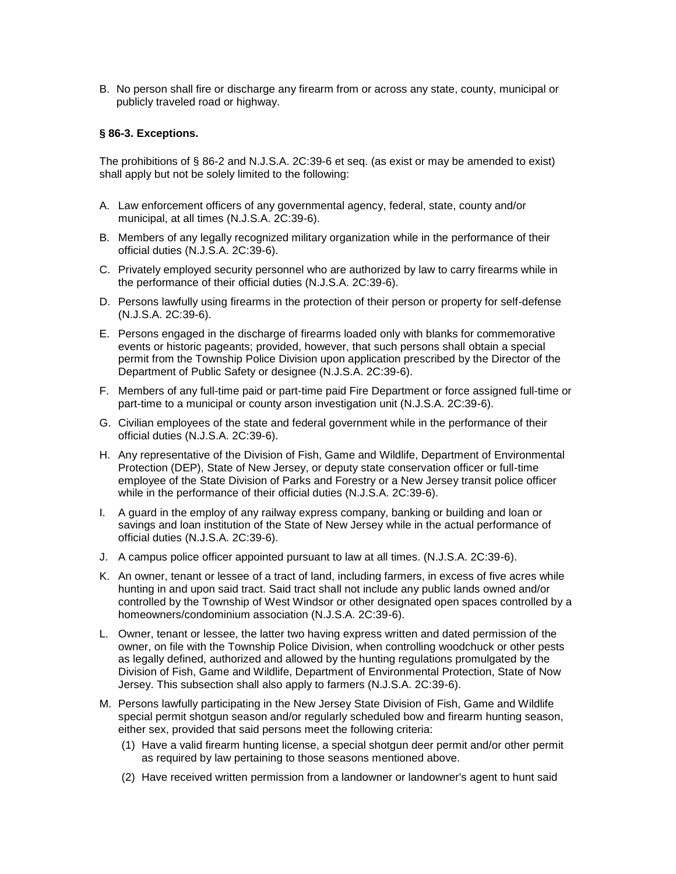B. No person shall fire or discharge any firearm from or across any state, county, municipal or publicly traveled road or highway.

## **§ 86-3. Exceptions.**

The prohibitions of § 86-2 and N.J.S.A. 2C:39-6 et seq. (as exist or may be amended to exist) shall apply but not be solely limited to the following:

- A. Law enforcement officers of any governmental agency, federal, state, county and/or municipal, at all times (N.J.S.A. 2C:39-6).
- B. Members of any legally recognized military organization while in the performance of their official duties (N.J.S.A. 2C:39-6).
- C. Privately employed security personnel who are authorized by law to carry firearms while in the performance of their official duties (N.J.S.A. 2C:39-6).
- D. Persons lawfully using firearms in the protection of their person or property for self-defense (N.J.S.A. 2C:39-6).
- E. Persons engaged in the discharge of firearms loaded only with blanks for commemorative events or historic pageants; provided, however, that such persons shall obtain a special permit from the Township Police Division upon application prescribed by the Director of the Department of Public Safety or designee (N.J.S.A. 2C:39-6).
- F. Members of any full-time paid or part-time paid Fire Department or force assigned full-time or part-time to a municipal or county arson investigation unit (N.J.S.A. 2C:39-6).
- G. Civilian employees of the state and federal government while in the performance of their official duties (N.J.S.A. 2C:39-6).
- H. Any representative of the Division of Fish, Game and Wildlife, Department of Environmental Protection (DEP), State of New Jersey, or deputy state conservation officer or full-time employee of the State Division of Parks and Forestry or a New Jersey transit police officer while in the performance of their official duties (N.J.S.A. 2C:39-6).
- I. A guard in the employ of any railway express company, banking or building and loan or savings and loan institution of the State of New Jersey while in the actual performance of official duties (N.J.S.A. 2C:39-6).
- J. A campus police officer appointed pursuant to law at all times. (N.J.S.A. 2C:39-6).
- K. An owner, tenant or lessee of a tract of land, including farmers, in excess of five acres while hunting in and upon said tract. Said tract shall not include any public lands owned and/or controlled by the Township of West Windsor or other designated open spaces controlled by a homeowners/condominium association (N.J.S.A. 2C:39-6).
- L. Owner, tenant or lessee, the latter two having express written and dated permission of the owner, on file with the Township Police Division, when controlling woodchuck or other pests as legally defined, authorized and allowed by the hunting regulations promulgated by the Division of Fish, Game and Wildlife, Department of Environmental Protection, State of Now Jersey. This subsection shall also apply to farmers (N.J.S.A. 2C:39-6).
- M. Persons lawfully participating in the New Jersey State Division of Fish, Game and Wildlife special permit shotgun season and/or regularly scheduled bow and firearm hunting season, either sex, provided that said persons meet the following criteria:
	- (1) Have a valid firearm hunting license, a special shotgun deer permit and/or other permit as required by law pertaining to those seasons mentioned above.
	- (2) Have received written permission from a landowner or landowner's agent to hunt said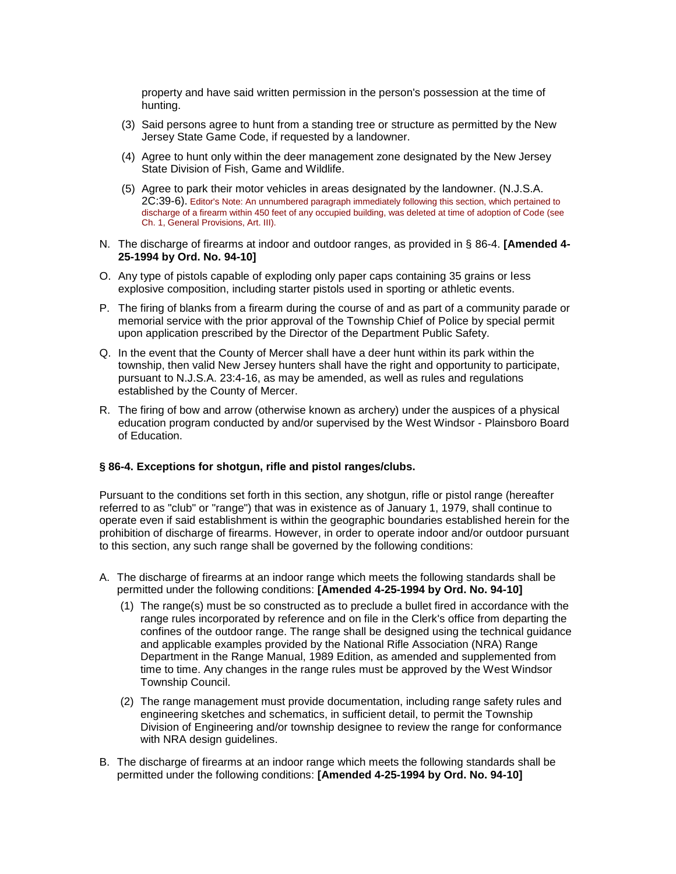property and have said written permission in the person's possession at the time of hunting.

- (3) Said persons agree to hunt from a standing tree or structure as permitted by the New Jersey State Game Code, if requested by a landowner.
- (4) Agree to hunt only within the deer management zone designated by the New Jersey State Division of Fish, Game and Wildlife.
- (5) Agree to park their motor vehicles in areas designated by the landowner. (N.J.S.A. 2C:39-6). Editor's Note: An unnumbered paragraph immediately following this section, which pertained to discharge of a firearm within 450 feet of any occupied building, was deleted at time of adoption of Code (see Ch. 1, General Provisions, Art. III).
- N. The discharge of firearms at indoor and outdoor ranges, as provided in § 86-4. **[Amended 4- 25-1994 by Ord. No. 94-10]**
- O. Any type of pistols capable of exploding only paper caps containing 35 grains or less explosive composition, including starter pistols used in sporting or athletic events.
- P. The firing of blanks from a firearm during the course of and as part of a community parade or memorial service with the prior approval of the Township Chief of Police by special permit upon application prescribed by the Director of the Department Public Safety.
- Q. In the event that the County of Mercer shall have a deer hunt within its park within the township, then valid New Jersey hunters shall have the right and opportunity to participate, pursuant to N.J.S.A. 23:4-16, as may be amended, as well as rules and regulations established by the County of Mercer.
- R. The firing of bow and arrow (otherwise known as archery) under the auspices of a physical education program conducted by and/or supervised by the West Windsor - Plainsboro Board of Education.

## **§ 86-4. Exceptions for shotgun, rifle and pistol ranges/clubs.**

Pursuant to the conditions set forth in this section, any shotgun, rifle or pistol range (hereafter referred to as "club" or "range") that was in existence as of January 1, 1979, shall continue to operate even if said establishment is within the geographic boundaries established herein for the prohibition of discharge of firearms. However, in order to operate indoor and/or outdoor pursuant to this section, any such range shall be governed by the following conditions:

- A. The discharge of firearms at an indoor range which meets the following standards shall be permitted under the following conditions: **[Amended 4-25-1994 by Ord. No. 94-10]**
	- (1) The range(s) must be so constructed as to preclude a bullet fired in accordance with the range rules incorporated by reference and on file in the Clerk's office from departing the confines of the outdoor range. The range shall be designed using the technical guidance and applicable examples provided by the National Rifle Association (NRA) Range Department in the Range Manual, 1989 Edition, as amended and supplemented from time to time. Any changes in the range rules must be approved by the West Windsor Township Council.
	- (2) The range management must provide documentation, including range safety rules and engineering sketches and schematics, in sufficient detail, to permit the Township Division of Engineering and/or township designee to review the range for conformance with NRA design guidelines.
- B. The discharge of firearms at an indoor range which meets the following standards shall be permitted under the following conditions: **[Amended 4-25-1994 by Ord. No. 94-10]**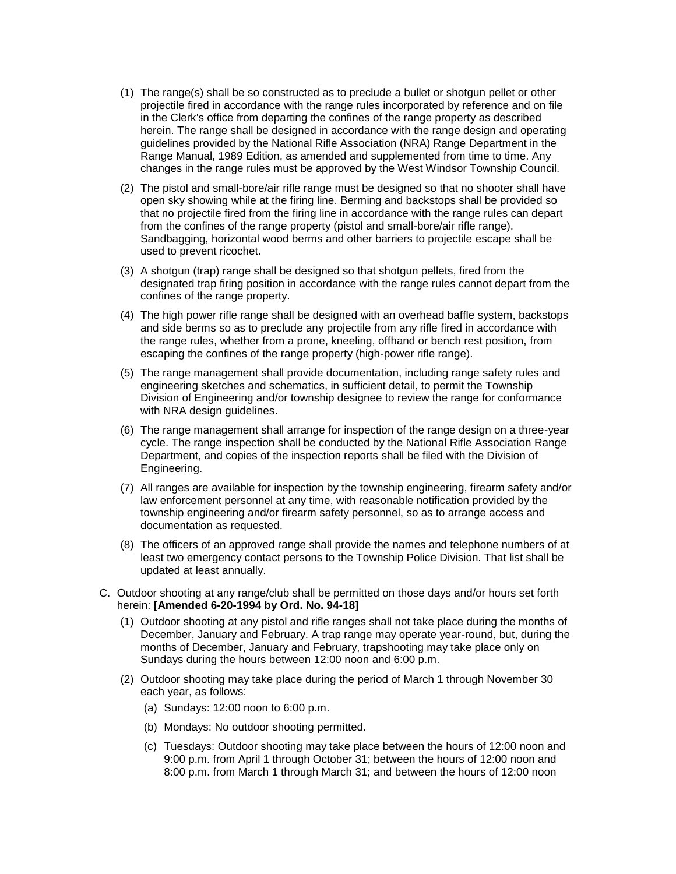- (1) The range(s) shall be so constructed as to preclude a bullet or shotgun pellet or other projectile fired in accordance with the range rules incorporated by reference and on file in the Clerk's office from departing the confines of the range property as described herein. The range shall be designed in accordance with the range design and operating guidelines provided by the National Rifle Association (NRA) Range Department in the Range Manual, 1989 Edition, as amended and supplemented from time to time. Any changes in the range rules must be approved by the West Windsor Township Council.
- (2) The pistol and small-bore/air rifle range must be designed so that no shooter shall have open sky showing while at the firing line. Berming and backstops shall be provided so that no projectile fired from the firing line in accordance with the range rules can depart from the confines of the range property (pistol and small-bore/air rifle range). Sandbagging, horizontal wood berms and other barriers to projectile escape shall be used to prevent ricochet.
- (3) A shotgun (trap) range shall be designed so that shotgun pellets, fired from the designated trap firing position in accordance with the range rules cannot depart from the confines of the range property.
- (4) The high power rifle range shall be designed with an overhead baffle system, backstops and side berms so as to preclude any projectile from any rifle fired in accordance with the range rules, whether from a prone, kneeling, offhand or bench rest position, from escaping the confines of the range property (high-power rifle range).
- (5) The range management shall provide documentation, including range safety rules and engineering sketches and schematics, in sufficient detail, to permit the Township Division of Engineering and/or township designee to review the range for conformance with NRA design guidelines.
- (6) The range management shall arrange for inspection of the range design on a three-year cycle. The range inspection shall be conducted by the National Rifle Association Range Department, and copies of the inspection reports shall be filed with the Division of Engineering.
- (7) All ranges are available for inspection by the township engineering, firearm safety and/or law enforcement personnel at any time, with reasonable notification provided by the township engineering and/or firearm safety personnel, so as to arrange access and documentation as requested.
- (8) The officers of an approved range shall provide the names and telephone numbers of at least two emergency contact persons to the Township Police Division. That list shall be updated at least annually.
- C. Outdoor shooting at any range/club shall be permitted on those days and/or hours set forth herein: **[Amended 6-20-1994 by Ord. No. 94-18]**
	- (1) Outdoor shooting at any pistol and rifle ranges shall not take place during the months of December, January and February. A trap range may operate year-round, but, during the months of December, January and February, trapshooting may take place only on Sundays during the hours between 12:00 noon and 6:00 p.m.
	- (2) Outdoor shooting may take place during the period of March 1 through November 30 each year, as follows:
		- (a) Sundays: 12:00 noon to 6:00 p.m.
		- (b) Mondays: No outdoor shooting permitted.
		- (c) Tuesdays: Outdoor shooting may take place between the hours of 12:00 noon and 9:00 p.m. from April 1 through October 31; between the hours of 12:00 noon and 8:00 p.m. from March 1 through March 31; and between the hours of 12:00 noon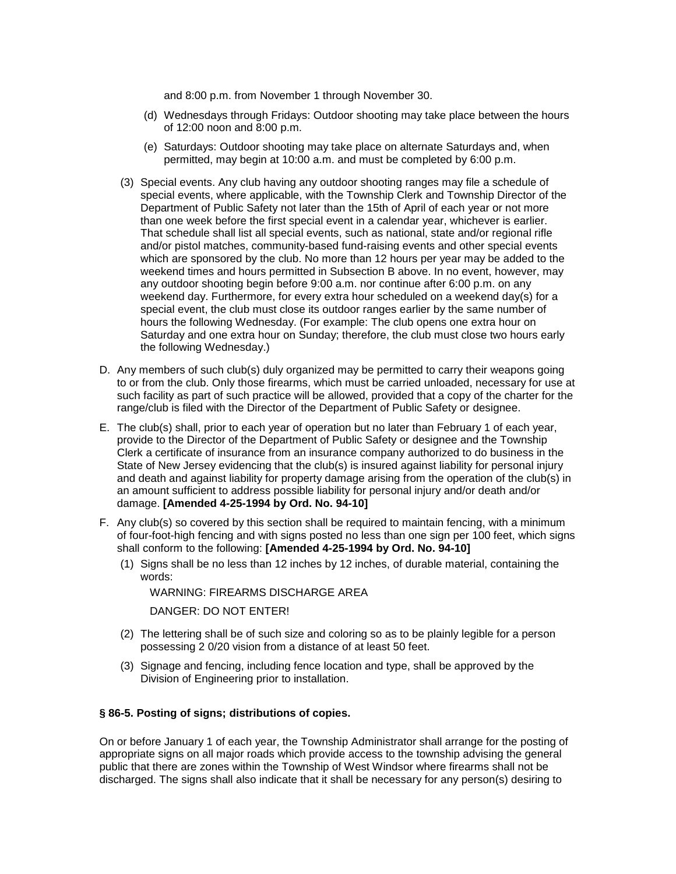and 8:00 p.m. from November 1 through November 30.

- (d) Wednesdays through Fridays: Outdoor shooting may take place between the hours of 12:00 noon and 8:00 p.m.
- (e) Saturdays: Outdoor shooting may take place on alternate Saturdays and, when permitted, may begin at 10:00 a.m. and must be completed by 6:00 p.m.
- (3) Special events. Any club having any outdoor shooting ranges may file a schedule of special events, where applicable, with the Township Clerk and Township Director of the Department of Public Safety not later than the 15th of April of each year or not more than one week before the first special event in a calendar year, whichever is earlier. That schedule shall list all special events, such as national, state and/or regional rifle and/or pistol matches, community-based fund-raising events and other special events which are sponsored by the club. No more than 12 hours per year may be added to the weekend times and hours permitted in Subsection B above. In no event, however, may any outdoor shooting begin before 9:00 a.m. nor continue after 6:00 p.m. on any weekend day. Furthermore, for every extra hour scheduled on a weekend day(s) for a special event, the club must close its outdoor ranges earlier by the same number of hours the following Wednesday. (For example: The club opens one extra hour on Saturday and one extra hour on Sunday; therefore, the club must close two hours early the following Wednesday.)
- D. Any members of such club(s) duly organized may be permitted to carry their weapons going to or from the club. Only those firearms, which must be carried unloaded, necessary for use at such facility as part of such practice will be allowed, provided that a copy of the charter for the range/club is filed with the Director of the Department of Public Safety or designee.
- E. The club(s) shall, prior to each year of operation but no later than February 1 of each year, provide to the Director of the Department of Public Safety or designee and the Township Clerk a certificate of insurance from an insurance company authorized to do business in the State of New Jersey evidencing that the club(s) is insured against liability for personal injury and death and against liability for property damage arising from the operation of the club(s) in an amount sufficient to address possible liability for personal injury and/or death and/or damage. **[Amended 4-25-1994 by Ord. No. 94-10]**
- F. Any club(s) so covered by this section shall be required to maintain fencing, with a minimum of four-foot-high fencing and with signs posted no less than one sign per 100 feet, which signs shall conform to the following: **[Amended 4-25-1994 by Ord. No. 94-10]**
	- (1) Signs shall be no less than 12 inches by 12 inches, of durable material, containing the words:

WARNING: FIREARMS DISCHARGE AREA

DANGER: DO NOT ENTER!

- (2) The lettering shall be of such size and coloring so as to be plainly legible for a person possessing 2 0/20 vision from a distance of at least 50 feet.
- (3) Signage and fencing, including fence location and type, shall be approved by the Division of Engineering prior to installation.

### **§ 86-5. Posting of signs; distributions of copies.**

On or before January 1 of each year, the Township Administrator shall arrange for the posting of appropriate signs on all major roads which provide access to the township advising the general public that there are zones within the Township of West Windsor where firearms shall not be discharged. The signs shall also indicate that it shall be necessary for any person(s) desiring to